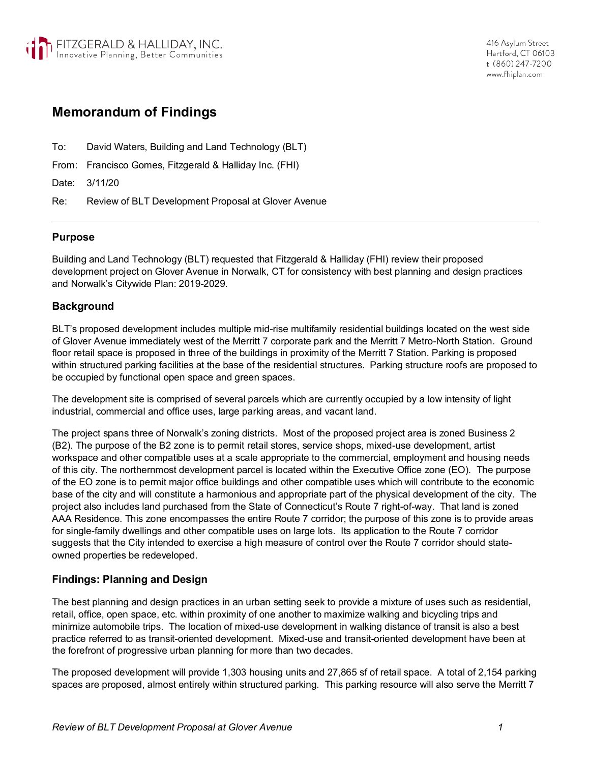

# **Memorandum of Findings**

- To: David Waters, Building and Land Technology (BLT)
- From: Francisco Gomes, Fitzgerald & Halliday Inc. (FHI)

Date: 3/11/20

Re: Review of BLT Development Proposal at Glover Avenue

# **Purpose**

Building and Land Technology (BLT) requested that Fitzgerald & Halliday (FHI) review their proposed development project on Glover Avenue in Norwalk, CT for consistency with best planning and design practices and Norwalk's Citywide Plan: 2019-2029.

## **Background**

BLT's proposed development includes multiple mid-rise multifamily residential buildings located on the west side of Glover Avenue immediately west of the Merritt 7 corporate park and the Merritt 7 Metro-North Station. Ground floor retail space is proposed in three of the buildings in proximity of the Merritt 7 Station. Parking is proposed within structured parking facilities at the base of the residential structures. Parking structure roofs are proposed to be occupied by functional open space and green spaces.

The development site is comprised of several parcels which are currently occupied by a low intensity of light industrial, commercial and office uses, large parking areas, and vacant land.

The project spans three of Norwalk's zoning districts. Most of the proposed project area is zoned Business 2 (B2). The purpose of the B2 zone is to permit retail stores, service shops, mixed-use development, artist workspace and other compatible uses at a scale appropriate to the commercial, employment and housing needs of this city. The northernmost development parcel is located within the Executive Office zone (EO). The purpose of the EO zone is to permit major office buildings and other compatible uses which will contribute to the economic base of the city and will constitute a harmonious and appropriate part of the physical development of the city. The project also includes land purchased from the State of Connecticut's Route 7 right-of-way. That land is zoned AAA Residence. This zone encompasses the entire Route 7 corridor; the purpose of this zone is to provide areas for single-family dwellings and other compatible uses on large lots. Its application to the Route 7 corridor suggests that the City intended to exercise a high measure of control over the Route 7 corridor should stateowned properties be redeveloped.

# **Findings: Planning and Design**

The best planning and design practices in an urban setting seek to provide a mixture of uses such as residential, retail, office, open space, etc. within proximity of one another to maximize walking and bicycling trips and minimize automobile trips. The location of mixed-use development in walking distance of transit is also a best practice referred to as transit-oriented development. Mixed-use and transit-oriented development have been at the forefront of progressive urban planning for more than two decades.

The proposed development will provide 1,303 housing units and 27,865 sf of retail space. A total of 2,154 parking spaces are proposed, almost entirely within structured parking. This parking resource will also serve the Merritt 7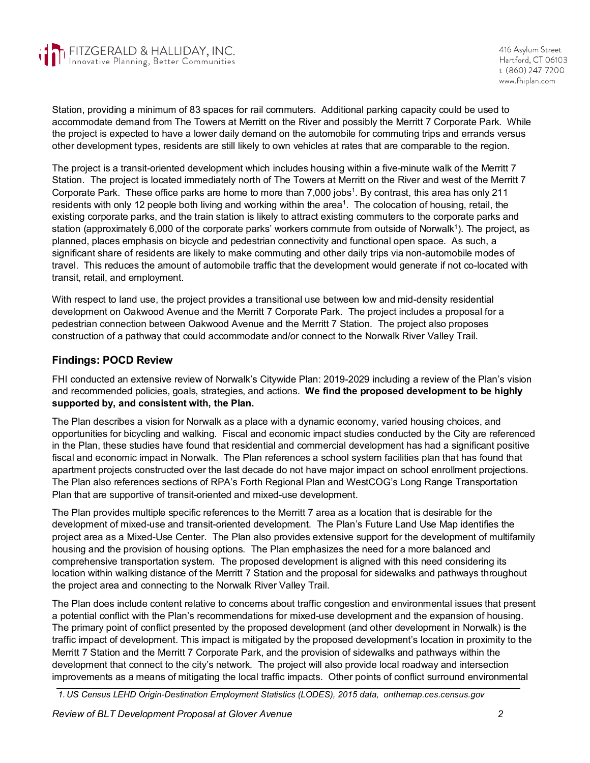

416 Asylum Street Hartford, CT 06103 t (860) 247-7200 www.fhiplan.com

Station, providing a minimum of 83 spaces for rail commuters. Additional parking capacity could be used to accommodate demand from The Towers at Merritt on the River and possibly the Merritt 7 Corporate Park. While the project is expected to have a lower daily demand on the automobile for commuting trips and errands versus other development types, residents are still likely to own vehicles at rates that are comparable to the region.

The project is a transit-oriented development which includes housing within a five-minute walk of the Merritt 7 Station. The project is located immediately north of The Towers at Merritt on the River and west of the Merritt 7 Corporate Park. These office parks are home to more than 7,000 jobs<sup>1</sup>. By contrast, this area has only 211 residents with only 12 people both living and working within the area<sup>1</sup>. The colocation of housing, retail, the existing corporate parks, and the train station is likely to attract existing commuters to the corporate parks and station (approximately 6,000 of the corporate parks' workers commute from outside of Norwalk<sup>1</sup>). The project, as planned, places emphasis on bicycle and pedestrian connectivity and functional open space. As such, a significant share of residents are likely to make commuting and other daily trips via non-automobile modes of travel. This reduces the amount of automobile traffic that the development would generate if not co-located with transit, retail, and employment.

With respect to land use, the project provides a transitional use between low and mid-density residential development on Oakwood Avenue and the Merritt 7 Corporate Park. The project includes a proposal for a pedestrian connection between Oakwood Avenue and the Merritt 7 Station. The project also proposes construction of a pathway that could accommodate and/or connect to the Norwalk River Valley Trail.

# **Findings: POCD Review**

FHI conducted an extensive review of Norwalk's Citywide Plan: 2019-2029 including a review of the Plan's vision and recommended policies, goals, strategies, and actions. **We find the proposed development to be highly supported by, and consistent with, the Plan.**

The Plan describes a vision for Norwalk as a place with a dynamic economy, varied housing choices, and opportunities for bicycling and walking. Fiscal and economic impact studies conducted by the City are referenced in the Plan, these studies have found that residential and commercial development has had a significant positive fiscal and economic impact in Norwalk. The Plan references a school system facilities plan that has found that apartment projects constructed over the last decade do not have major impact on school enrollment projections. The Plan also references sections of RPA's Forth Regional Plan and WestCOG's Long Range Transportation Plan that are supportive of transit-oriented and mixed-use development.

The Plan provides multiple specific references to the Merritt 7 area as a location that is desirable for the development of mixed-use and transit-oriented development. The Plan's Future Land Use Map identifies the project area as a Mixed-Use Center. The Plan also provides extensive support for the development of multifamily housing and the provision of housing options. The Plan emphasizes the need for a more balanced and comprehensive transportation system. The proposed development is aligned with this need considering its location within walking distance of the Merritt 7 Station and the proposal for sidewalks and pathways throughout the project area and connecting to the Norwalk River Valley Trail.

The Plan does include content relative to concerns about traffic congestion and environmental issues that present a potential conflict with the Plan's recommendations for mixed-use development and the expansion of housing. The primary point of conflict presented by the proposed development (and other development in Norwalk) is the traffic impact of development. This impact is mitigated by the proposed development's location in proximity to the Merritt 7 Station and the Merritt 7 Corporate Park, and the provision of sidewalks and pathways within the development that connect to the city's network. The project will also provide local roadway and intersection improvements as a means of mitigating the local traffic impacts. Other points of conflict surround environmental

*<sup>1.</sup> US Census LEHD Origin-Destination Employment Statistics (LODES), 2015 data, onthemap.ces.census.gov*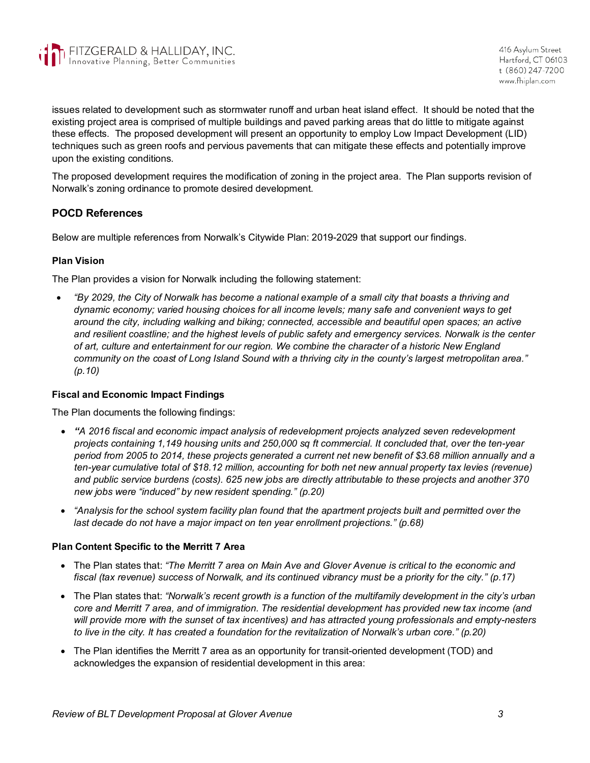

issues related to development such as stormwater runoff and urban heat island effect. It should be noted that the existing project area is comprised of multiple buildings and paved parking areas that do little to mitigate against these effects. The proposed development will present an opportunity to employ Low Impact Development (LID) techniques such as green roofs and pervious pavements that can mitigate these effects and potentially improve upon the existing conditions.

The proposed development requires the modification of zoning in the project area. The Plan supports revision of Norwalk's zoning ordinance to promote desired development.

# **POCD References**

Below are multiple references from Norwalk's Citywide Plan: 2019-2029 that support our findings.

#### **Plan Vision**

The Plan provides a vision for Norwalk including the following statement:

• *"By 2029, the City of Norwalk has become a national example of a small city that boasts a thriving and dynamic economy; varied housing choices for all income levels; many safe and convenient ways to get around the city, including walking and biking; connected, accessible and beautiful open spaces; an active and resilient coastline; and the highest levels of public safety and emergency services. Norwalk is the center of art, culture and entertainment for our region. We combine the character of a historic New England community on the coast of Long Island Sound with a thriving city in the county's largest metropolitan area." (p.10)*

#### **Fiscal and Economic Impact Findings**

The Plan documents the following findings:

- *"A 2016 fiscal and economic impact analysis of redevelopment projects analyzed seven redevelopment projects containing 1,149 housing units and 250,000 sq ft commercial. It concluded that, over the ten-year period from 2005 to 2014, these projects generated a current net new benefit of \$3.68 million annually and a ten-year cumulative total of \$18.12 million, accounting for both net new annual property tax levies (revenue) and public service burdens (costs). 625 new jobs are directly attributable to these projects and another 370 new jobs were "induced" by new resident spending." (p.20)*
- *"Analysis for the school system facility plan found that the apartment projects built and permitted over the last decade do not have a major impact on ten year enrollment projections." (p.68)*

#### **Plan Content Specific to the Merritt 7 Area**

- The Plan states that: *"The Merritt 7 area on Main Ave and Glover Avenue is critical to the economic and fiscal (tax revenue) success of Norwalk, and its continued vibrancy must be a priority for the city." (p.17)*
- The Plan states that: *"Norwalk's recent growth is a function of the multifamily development in the city's urban core and Merritt 7 area, and of immigration. The residential development has provided new tax income (and will provide more with the sunset of tax incentives) and has attracted young professionals and empty-nesters to live in the city. It has created a foundation for the revitalization of Norwalk's urban core." (p.20)*
- The Plan identifies the Merritt 7 area as an opportunity for transit-oriented development (TOD) and acknowledges the expansion of residential development in this area: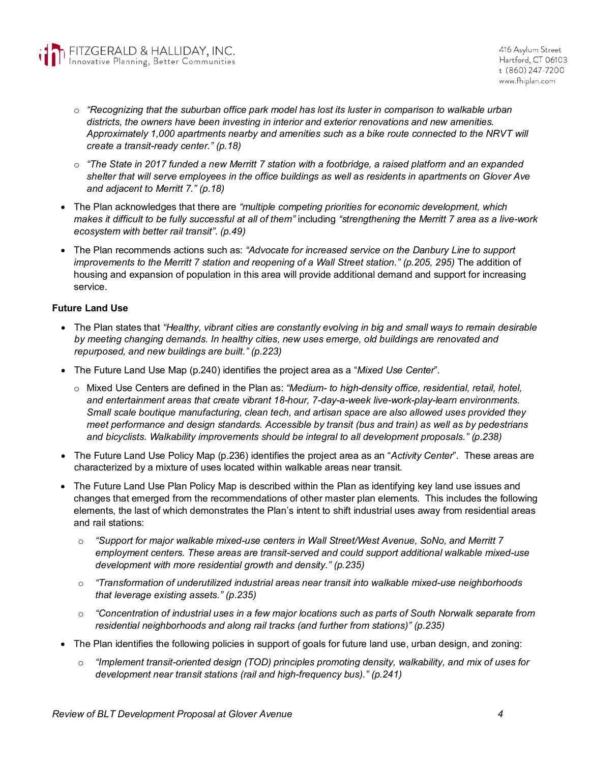- o *"Recognizing that the suburban office park model has lost its luster in comparison to walkable urban districts, the owners have been investing in interior and exterior renovations and new amenities. Approximately 1,000 apartments nearby and amenities such as a bike route connected to the NRVT will create a transit-ready center." (p.18)*
- o *"The State in 2017 funded a new Merritt 7 station with a footbridge, a raised platform and an expanded shelter that will serve employees in the office buildings as well as residents in apartments on Glover Ave and adjacent to Merritt 7." (p.18)*
- The Plan acknowledges that there are *"multiple competing priorities for economic development, which makes it difficult to be fully successful at all of them"* including *"strengthening the Merritt 7 area as a live-work ecosystem with better rail transit"*. *(p.49)*
- The Plan recommends actions such as: *"Advocate for increased service on the Danbury Line to support improvements to the Merritt 7 station and reopening of a Wall Street station." (p.205, 295)* The addition of housing and expansion of population in this area will provide additional demand and support for increasing service.

## **Future Land Use**

- The Plan states that *"Healthy, vibrant cities are constantly evolving in big and small ways to remain desirable by meeting changing demands. In healthy cities, new uses emerge, old buildings are renovated and repurposed, and new buildings are built." (p.223)*
- The Future Land Use Map (p.240) identifies the project area as a "*Mixed Use Center*".
	- o Mixed Use Centers are defined in the Plan as: *"Medium- to high-density office, residential, retail, hotel, and entertainment areas that create vibrant 18-hour, 7-day-a-week live-work-play-learn environments. Small scale boutique manufacturing, clean tech, and artisan space are also allowed uses provided they meet performance and design standards. Accessible by transit (bus and train) as well as by pedestrians and bicyclists. Walkability improvements should be integral to all development proposals." (p.238)*
- The Future Land Use Policy Map (p.236) identifies the project area as an "*Activity Center*". These areas are characterized by a mixture of uses located within walkable areas near transit.
- The Future Land Use Plan Policy Map is described within the Plan as identifying key land use issues and changes that emerged from the recommendations of other master plan elements. This includes the following elements, the last of which demonstrates the Plan's intent to shift industrial uses away from residential areas and rail stations:
	- o *"Support for major walkable mixed-use centers in Wall Street/West Avenue, SoNo, and Merritt 7 employment centers. These areas are transit-served and could support additional walkable mixed-use development with more residential growth and density." (p.235)*
	- o *"Transformation of underutilized industrial areas near transit into walkable mixed-use neighborhoods that leverage existing assets." (p.235)*
	- o *"Concentration of industrial uses in a few major locations such as parts of South Norwalk separate from residential neighborhoods and along rail tracks (and further from stations)" (p.235)*
- The Plan identifies the following policies in support of goals for future land use, urban design, and zoning:
	- o *"Implement transit-oriented design (TOD) principles promoting density, walkability, and mix of uses for development near transit stations (rail and high-frequency bus)." (p.241)*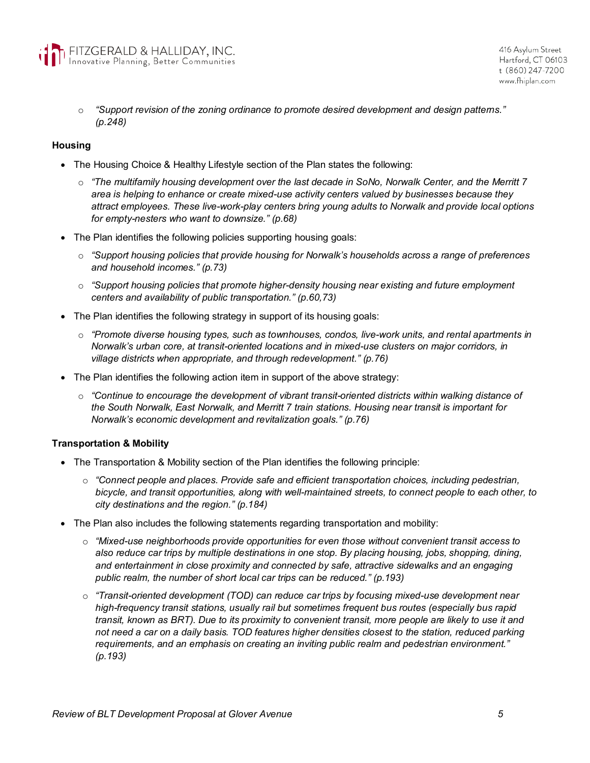o *"Support revision of the zoning ordinance to promote desired development and design patterns." (p.248)*

## **Housing**

- The Housing Choice & Healthy Lifestyle section of the Plan states the following:
	- o *"The multifamily housing development over the last decade in SoNo, Norwalk Center, and the Merritt 7 area is helping to enhance or create mixed-use activity centers valued by businesses because they attract employees. These live-work-play centers bring young adults to Norwalk and provide local options for empty-nesters who want to downsize." (p.68)*
- The Plan identifies the following policies supporting housing goals:
	- o *"Support housing policies that provide housing for Norwalk's households across a range of preferences and household incomes." (p.73)*
	- o *"Support housing policies that promote higher-density housing near existing and future employment centers and availability of public transportation." (p.60,73)*
- The Plan identifies the following strategy in support of its housing goals:
	- o *"Promote diverse housing types, such as townhouses, condos, live-work units, and rental apartments in Norwalk's urban core, at transit-oriented locations and in mixed-use clusters on major corridors, in village districts when appropriate, and through redevelopment." (p.76)*
- The Plan identifies the following action item in support of the above strategy:
	- o *"Continue to encourage the development of vibrant transit-oriented districts within walking distance of the South Norwalk, East Norwalk, and Merritt 7 train stations. Housing near transit is important for Norwalk's economic development and revitalization goals." (p.76)*

#### **Transportation & Mobility**

- The Transportation & Mobility section of the Plan identifies the following principle:
	- o *"Connect people and places. Provide safe and efficient transportation choices, including pedestrian, bicycle, and transit opportunities, along with well-maintained streets, to connect people to each other, to city destinations and the region." (p.184)*
- The Plan also includes the following statements regarding transportation and mobility:
	- o *"Mixed-use neighborhoods provide opportunities for even those without convenient transit access to also reduce car trips by multiple destinations in one stop. By placing housing, jobs, shopping, dining, and entertainment in close proximity and connected by safe, attractive sidewalks and an engaging public realm, the number of short local car trips can be reduced." (p.193)*
	- o *"Transit-oriented development (TOD) can reduce car trips by focusing mixed-use development near high-frequency transit stations, usually rail but sometimes frequent bus routes (especially bus rapid transit, known as BRT). Due to its proximity to convenient transit, more people are likely to use it and not need a car on a daily basis. TOD features higher densities closest to the station, reduced parking requirements, and an emphasis on creating an inviting public realm and pedestrian environment." (p.193)*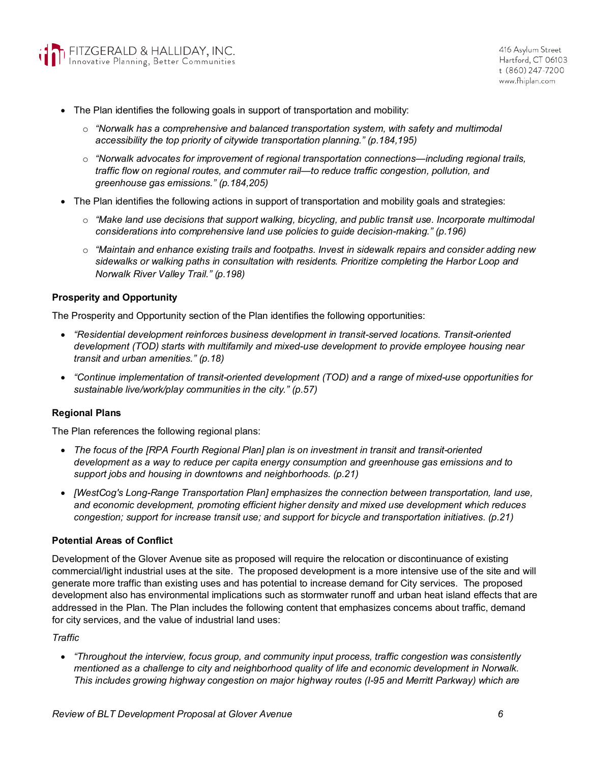

- The Plan identifies the following goals in support of transportation and mobility:
	- o *"Norwalk has a comprehensive and balanced transportation system, with safety and multimodal accessibility the top priority of citywide transportation planning." (p.184,195)*
	- o *"Norwalk advocates for improvement of regional transportation connections—including regional trails, traffic flow on regional routes, and commuter rail—to reduce traffic congestion, pollution, and greenhouse gas emissions." (p.184,205)*
- The Plan identifies the following actions in support of transportation and mobility goals and strategies:
	- o *"Make land use decisions that support walking, bicycling, and public transit use. Incorporate multimodal considerations into comprehensive land use policies to guide decision-making." (p.196)*
	- o *"Maintain and enhance existing trails and footpaths. Invest in sidewalk repairs and consider adding new sidewalks or walking paths in consultation with residents. Prioritize completing the Harbor Loop and Norwalk River Valley Trail." (p.198)*

#### **Prosperity and Opportunity**

The Prosperity and Opportunity section of the Plan identifies the following opportunities:

- *"Residential development reinforces business development in transit-served locations. Transit-oriented development (TOD) starts with multifamily and mixed-use development to provide employee housing near transit and urban amenities." (p.18)*
- *"Continue implementation of transit-oriented development (TOD) and a range of mixed-use opportunities for sustainable live/work/play communities in the city." (p.57)*

#### **Regional Plans**

The Plan references the following regional plans:

- *The focus of the [RPA Fourth Regional Plan] plan is on investment in transit and transit-oriented development as a way to reduce per capita energy consumption and greenhouse gas emissions and to support jobs and housing in downtowns and neighborhoods. (p.21)*
- *[WestCog's Long-Range Transportation Plan] emphasizes the connection between transportation, land use, and economic development, promoting efficient higher density and mixed use development which reduces congestion; support for increase transit use; and support for bicycle and transportation initiatives. (p.21)*

#### **Potential Areas of Conflict**

Development of the Glover Avenue site as proposed will require the relocation or discontinuance of existing commercial/light industrial uses at the site. The proposed development is a more intensive use of the site and will generate more traffic than existing uses and has potential to increase demand for City services. The proposed development also has environmental implications such as stormwater runoff and urban heat island effects that are addressed in the Plan. The Plan includes the following content that emphasizes concerns about traffic, demand for city services, and the value of industrial land uses:

#### *Traffic*

• *"Throughout the interview, focus group, and community input process, traffic congestion was consistently mentioned as a challenge to city and neighborhood quality of life and economic development in Norwalk. This includes growing highway congestion on major highway routes (I-95 and Merritt Parkway) which are*